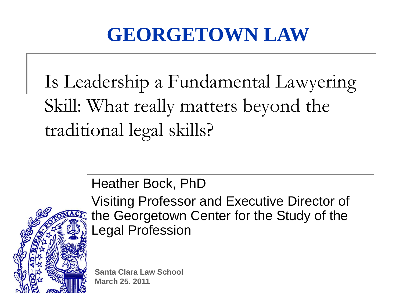### **GEORGETOWN LAW**

Is Leadership a Fundamental Lawyering Skill: What really matters beyond the traditional legal skills?

Heather Bock, PhD



Visiting Professor and Executive Director of the Georgetown Center for the Study of the Legal Profession

**Santa Clara Law School March 25. 2011**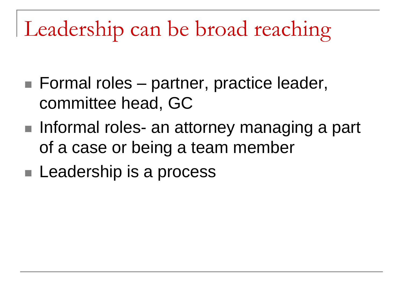# Leadership can be broad reaching

- Formal roles partner, practice leader, committee head, GC
- Informal roles- an attorney managing a part of a case or being a team member
- **Leadership is a process**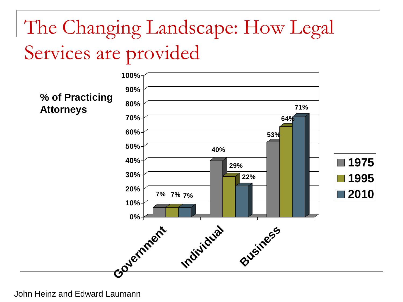### The Changing Landscape: How Legal Services are provided



John Heinz and Edward Laumann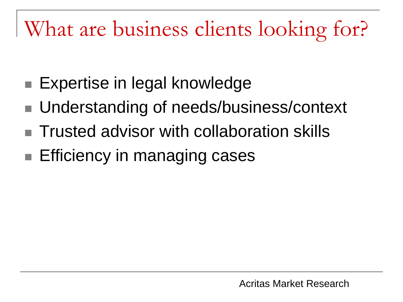# What are business clients looking for?

- Expertise in legal knowledge
- Understanding of needs/business/context
- $\blacksquare$  Trusted advisor with collaboration skills
- **Efficiency in managing cases**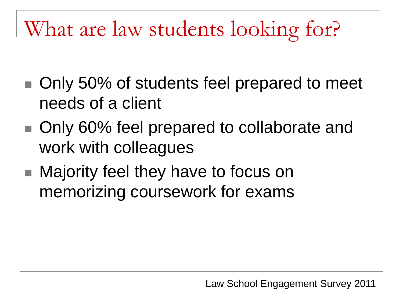What are law students looking for?

- Only 50% of students feel prepared to meet needs of a client
- Only 60% feel prepared to collaborate and work with colleagues
- Majority feel they have to focus on memorizing coursework for exams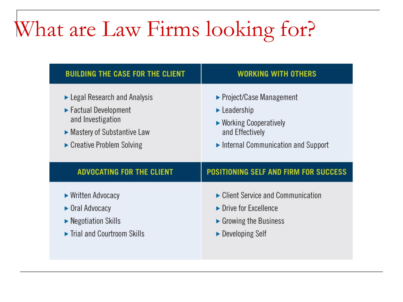# What are Law Firms looking for?

| <b>BUILDING THE CASE FOR THE CLIENT</b>           | <b>WORKING WITH OTHERS</b>                               |
|---------------------------------------------------|----------------------------------------------------------|
| $\blacktriangleright$ Legal Research and Analysis | $\triangleright$ Project/Case Management                 |
| ► Factual Development                             | $\blacktriangleright$ Leadership                         |
| and Investigation                                 | $\triangleright$ Working Cooperatively                   |
| • Mastery of Substantive Law                      | and Effectively                                          |
| Creative Problem Solving                          | $\blacktriangleright$ Internal Communication and Support |
| <b>ADVOCATING FOR THE CLIENT</b>                  | <b>POSITIONING SELF AND FIRM FOR SUCCESS</b>             |
| ► Written Advocacy                                | $\triangleright$ Client Service and Communication        |
| • Oral Advocacy                                   | $\triangleright$ Drive for Excellence                    |
| $\blacktriangleright$ Negotiation Skills          | $\triangleright$ Growing the Business                    |
| Trial and Courtroom Skills                        | • Developing Self                                        |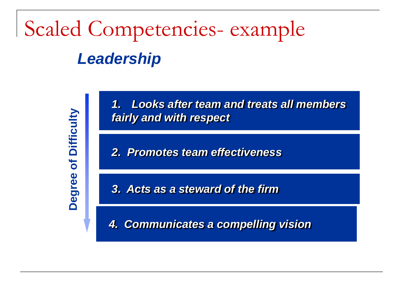# *Leadership* Scaled Competencies- example

of Difficulty **Degree of Difficulty** Degree

*1. Looks after team and treats all members fairly and with respect*

*2. Promotes team effectiveness*

*3. Acts as a steward of the firm*

*4. Communicates a compelling vision*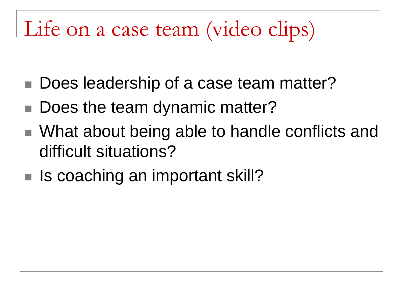# Life on a case team (video clips)

- Does leadership of a case team matter?
- Does the team dynamic matter?
- What about being able to handle conflicts and difficult situations?
- $\blacksquare$  Is coaching an important skill?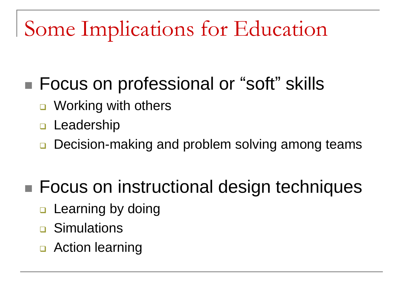## Some Implications for Education

#### ■ Focus on professional or "soft" skills

- Working with others
- **<u>n</u>** Leadership
- Decision-making and problem solving among teams

#### ■ Focus on instructional design techniques

- $\Box$  Learning by doing
- **D** Simulations
- **D** Action learning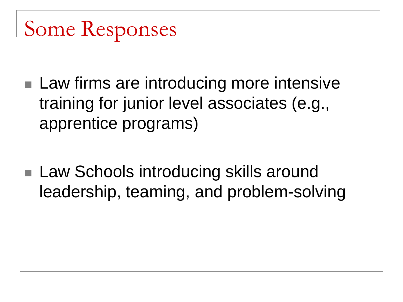# Some Responses

- Law firms are introducing more intensive training for junior level associates (e.g., apprentice programs)
- Law Schools introducing skills around leadership, teaming, and problem-solving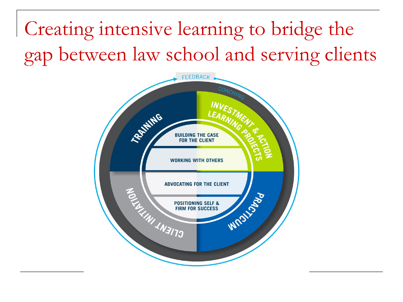Creating intensive learning to bridge the gap between law school and serving clients

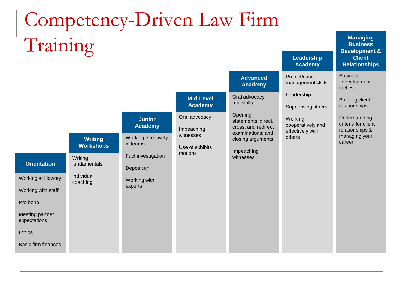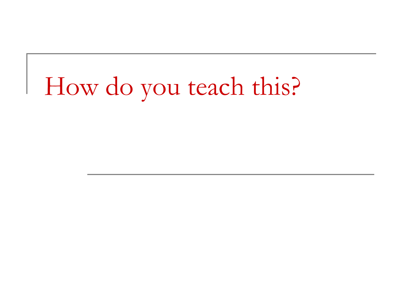# How do you teach this?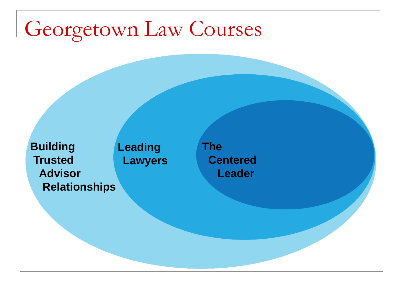### Georgetown Law Courses

**Leading Lawyers Building Trusted Advisor Relationships**

**The Centered Leader**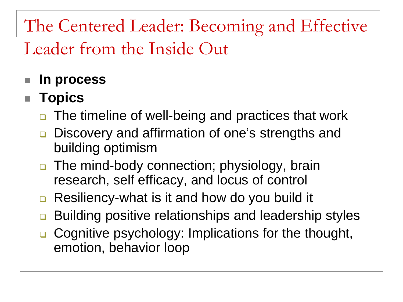The Centered Leader: Becoming and Effective Leader from the Inside Out

#### **In process**

#### ■ **Topics**

- **□** The timeline of well-being and practices that work
- **□** Discovery and affirmation of one's strengths and building optimism
- □ The mind-body connection; physiology, brain research, self efficacy, and locus of control
- **□** Resiliency-what is it and how do you build it
- **□** Building positive relationships and leadership styles
- **□** Cognitive psychology: Implications for the thought, emotion, behavior loop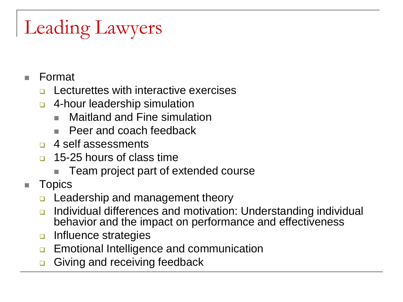### Leading Lawyers

- Format
	- Lecturettes with interactive exercises
	- **4-hour leadership simulation** 
		- Maitland and Fine simulation
		- Peer and coach feedback
	- □ 4 self assessments
	- 15-25 hours of class time
		- Team project part of extended course
- **Topics** 
	- **Leadership and management theory**
	- Individual differences and motivation: Understanding individual behavior and the impact on performance and effectiveness
	- **D** Influence strategies
	- **Emotional Intelligence and communication**
	- Giving and receiving feedback